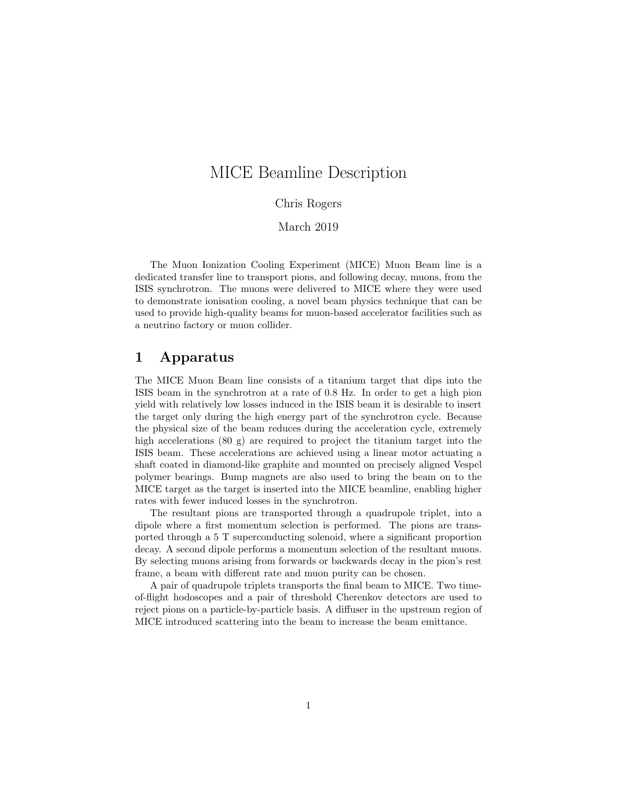# MICE Beamline Description

#### Chris Rogers

#### March 2019

The Muon Ionization Cooling Experiment (MICE) Muon Beam line is a dedicated transfer line to transport pions, and following decay, muons, from the ISIS synchrotron. The muons were delivered to MICE where they were used to demonstrate ionisation cooling, a novel beam physics technique that can be used to provide high-quality beams for muon-based accelerator facilities such as a neutrino factory or muon collider.

### 1 Apparatus

The MICE Muon Beam line consists of a titanium target that dips into the ISIS beam in the synchrotron at a rate of 0.8 Hz. In order to get a high pion yield with relatively low losses induced in the ISIS beam it is desirable to insert the target only during the high energy part of the synchrotron cycle. Because the physical size of the beam reduces during the acceleration cycle, extremely high accelerations (80 g) are required to project the titanium target into the ISIS beam. These accelerations are achieved using a linear motor actuating a shaft coated in diamond-like graphite and mounted on precisely aligned Vespel polymer bearings. Bump magnets are also used to bring the beam on to the MICE target as the target is inserted into the MICE beamline, enabling higher rates with fewer induced losses in the synchrotron.

The resultant pions are transported through a quadrupole triplet, into a dipole where a first momentum selection is performed. The pions are transported through a 5 T superconducting solenoid, where a significant proportion decay. A second dipole performs a momentum selection of the resultant muons. By selecting muons arising from forwards or backwards decay in the pion's rest frame, a beam with different rate and muon purity can be chosen.

A pair of quadrupole triplets transports the final beam to MICE. Two timeof-flight hodoscopes and a pair of threshold Cherenkov detectors are used to reject pions on a particle-by-particle basis. A diffuser in the upstream region of MICE introduced scattering into the beam to increase the beam emittance.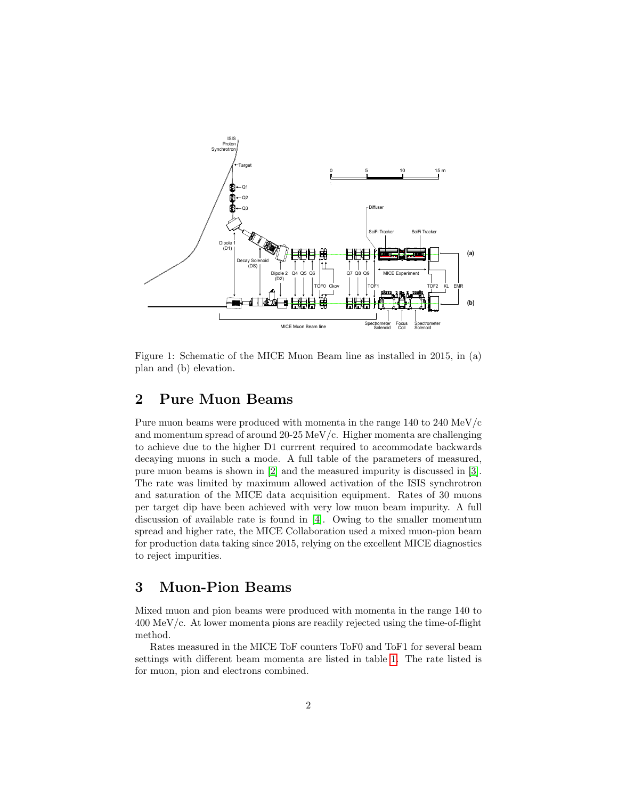

Figure 1: Schematic of the MICE Muon Beam line as installed in 2015, in (a) plan and (b) elevation.

# 2 Pure Muon Beams

Pure muon beams were produced with momenta in the range 140 to 240 MeV/c and momentum spread of around 20-25 MeV/c. Higher momenta are challenging to achieve due to the higher D1 currrent required to accommodate backwards decaying muons in such a mode. A full table of the parameters of measured, pure muon beams is shown in  $[2]$  and the measured impurity is discussed in  $[3]$ . The rate was limited by maximum allowed activation of the ISIS synchrotron and saturation of the MICE data acquisition equipment. Rates of 30 muons per target dip have been achieved with very low muon beam impurity. A full discussion of available rate is found in [\[4\]](#page-4-0). Owing to the smaller momentum spread and higher rate, the MICE Collaboration used a mixed muon-pion beam for production data taking since 2015, relying on the excellent MICE diagnostics to reject impurities. where  $\frac{1}{\sqrt{2}}$  coils were selected particles were selected particles were selected due to the intervals were selected by the intervals were selected due to the intervals were selected due to the intervals were selecte

## 3 Muon-Pion Beams

Mixed muon and pion beams were produced with momenta in the range 140 to  $400 \text{ MeV/c}.$  At lower momenta pions are readily rejected using the time-of-flight  $\epsilon$  and  $\epsilon$  the study systematic uncertainties. A sufficient uncertainties. A sufficient uncertainties. A sufficient uncertainties. A sufficient uncertainties. A sufficient uncertainties. A sufficient uncertainties. A s method.

Rates measured in the MICE ToF counters ToF0 and ToF1 for several beam settings with different beam momenta are listed in table [1.](#page-2-2) The rate listed is for muon, pion and electrons combined.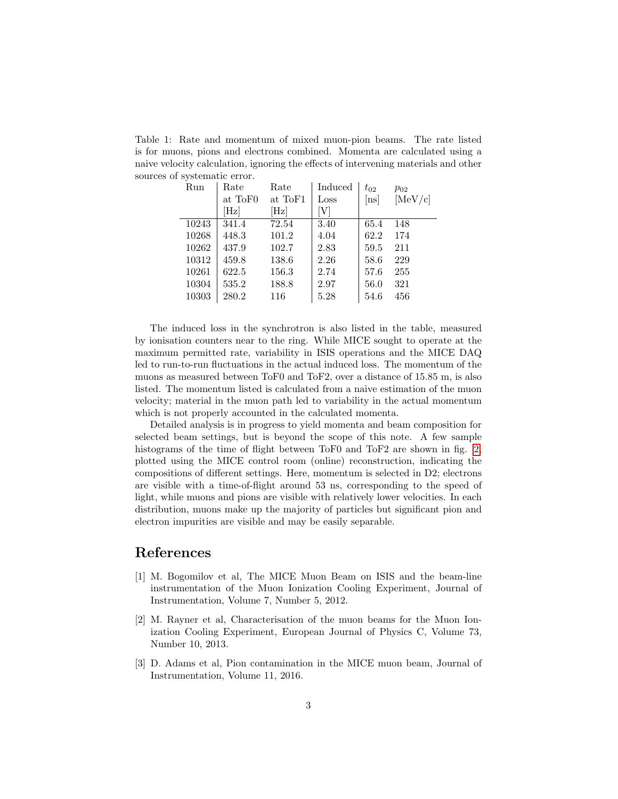<span id="page-2-2"></span>Table 1: Rate and momentum of mixed muon-pion beams. The rate listed is for muons, pions and electrons combined. Momenta are calculated using a naive velocity calculation, ignoring the effects of intervening materials and other sources of systematic error.

| Run   | Rate            | Rate            | Induced       | $t_{02}$ | $p_{02}$ |
|-------|-----------------|-----------------|---------------|----------|----------|
|       | at ToF0         | at ToF1         | $_{\rm Loss}$ | [ns]     | [MeV/c]  |
|       | $[\mathrm{Hz}]$ | $[\mathrm{Hz}]$ | [V]           |          |          |
| 10243 | 341.4           | 72.54           | 3.40          | 65.4     | 148      |
| 10268 | 448.3           | 101.2           | 4.04          | 62.2     | 174      |
| 10262 | 437.9           | 102.7           | 2.83          | 59.5     | 211      |
| 10312 | 459.8           | 138.6           | 2.26          | 58.6     | 229      |
| 10261 | 622.5           | 156.3           | 2.74          | 57.6     | 255      |
| 10304 | 535.2           | 188.8           | 2.97          | 56.0     | 321      |
| 10303 | 280.2           | 116             | 5.28          | 54.6     | 456      |
|       |                 |                 |               |          |          |

The induced loss in the synchrotron is also listed in the table, measured by ionisation counters near to the ring. While MICE sought to operate at the maximum permitted rate, variability in ISIS operations and the MICE DAQ led to run-to-run fluctuations in the actual induced loss. The momentum of the muons as measured between ToF0 and ToF2, over a distance of 15.85 m, is also listed. The momentum listed is calculated from a naive estimation of the muon velocity; material in the muon path led to variability in the actual momentum which is not properly accounted in the calculated momenta.

Detailed analysis is in progress to yield momenta and beam composition for selected beam settings, but is beyond the scope of this note. A few sample histograms of the time of flight between ToF0 and ToF2 are shown in fig. [2,](#page-3-0) plotted using the MICE control room (online) reconstruction, indicating the compositions of different settings. Here, momentum is selected in D2; electrons are visible with a time-of-flight around 53 ns, corresponding to the speed of light, while muons and pions are visible with relatively lower velocities. In each distribution, muons make up the majority of particles but significant pion and electron impurities are visible and may be easily separable.

#### References

- [1] M. Bogomilov et al, The MICE Muon Beam on ISIS and the beam-line instrumentation of the Muon Ionization Cooling Experiment, Journal of Instrumentation, Volume 7, Number 5, 2012.
- <span id="page-2-0"></span>[2] M. Rayner et al, Characterisation of the muon beams for the Muon Ionization Cooling Experiment, European Journal of Physics C, Volume 73, Number 10, 2013.
- <span id="page-2-1"></span>[3] D. Adams et al, Pion contamination in the MICE muon beam, Journal of Instrumentation, Volume 11, 2016.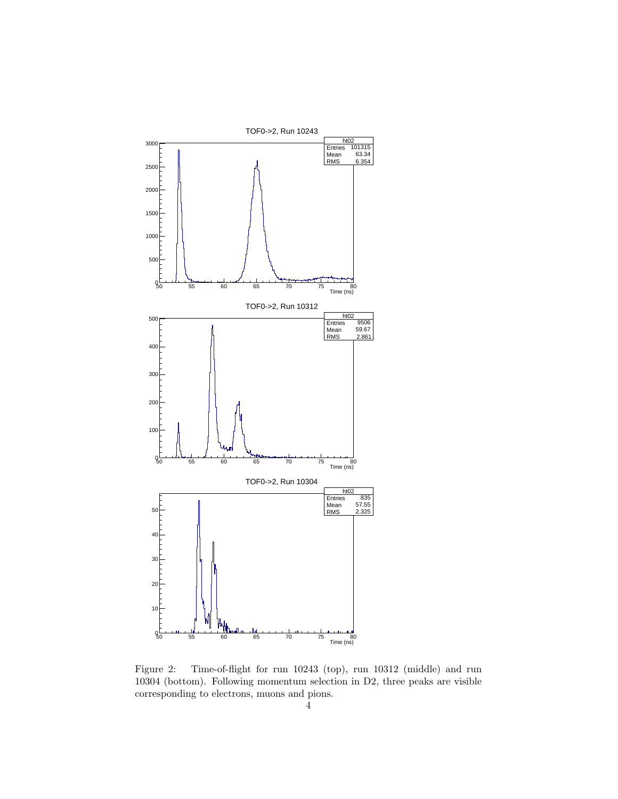

<span id="page-3-0"></span>Figure 2: Time-of-flight for run 10243 (top), run 10312 (middle) and run 10304 (bottom). Following momentum selection in D2, three peaks are visible corresponding to electrons, muons and pions.